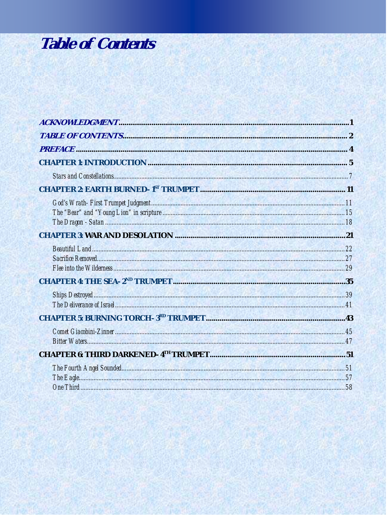## **Table of Contents**